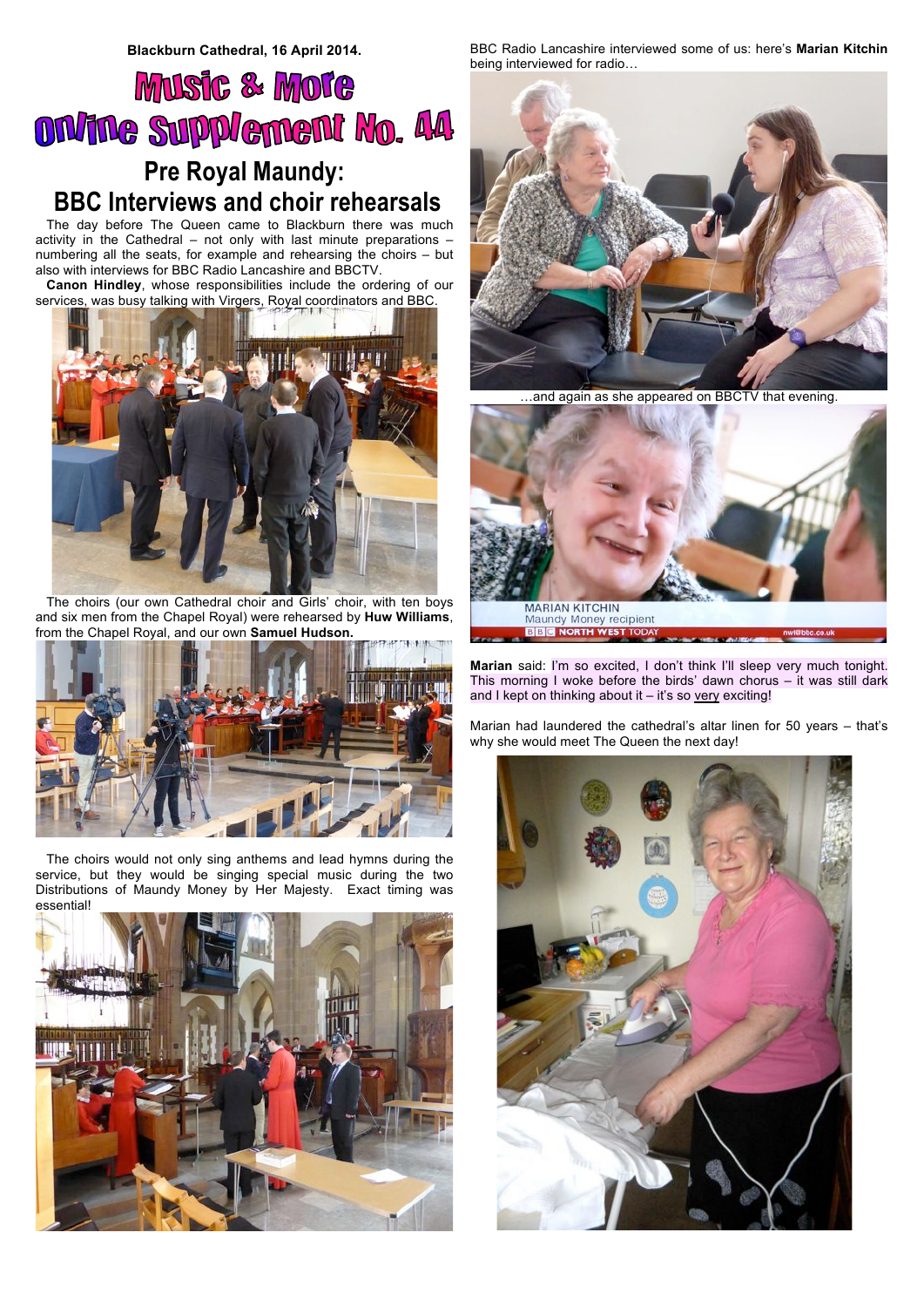## **Music & Mote** ON/INe Supplement No. 44 **Pre Royal Maundy: BBC Interviews and choir rehearsals**

The day before The Queen came to Blackburn there was much activity in the Cathedral – not only with last minute preparations – numbering all the seats, for example and rehearsing the choirs – but also with interviews for BBC Radio Lancashire and BBCTV.

**Canon Hindley**, whose responsibilities include the ordering of our services, was busy talking with Virgers, Royal coordinators and BBC.



The choirs (our own Cathedral choir and Girls' choir, with ten boys and six men from the Chapel Royal) were rehearsed by **Huw Williams**, from the Chapel Royal, and our own **Samuel Hudson.**



The choirs would not only sing anthems and lead hymns during the service, but they would be singing special music during the two Distributions of Maundy Money by Her Majesty. Exact timing was essential!



BBC Radio Lancashire interviewed some of us: here's **Marian Kitchin** being interviewed for radio…



…and again as she appeared on BBCTV that evening.



**Marian** said: I'm so excited, I don't think I'll sleep very much tonight. This morning I woke before the birds' dawn chorus – it was still dark and I kept on thinking about it  $-$  it's so very exciting!

Marian had laundered the cathedral's altar linen for 50 years – that's why she would meet The Queen the next day!